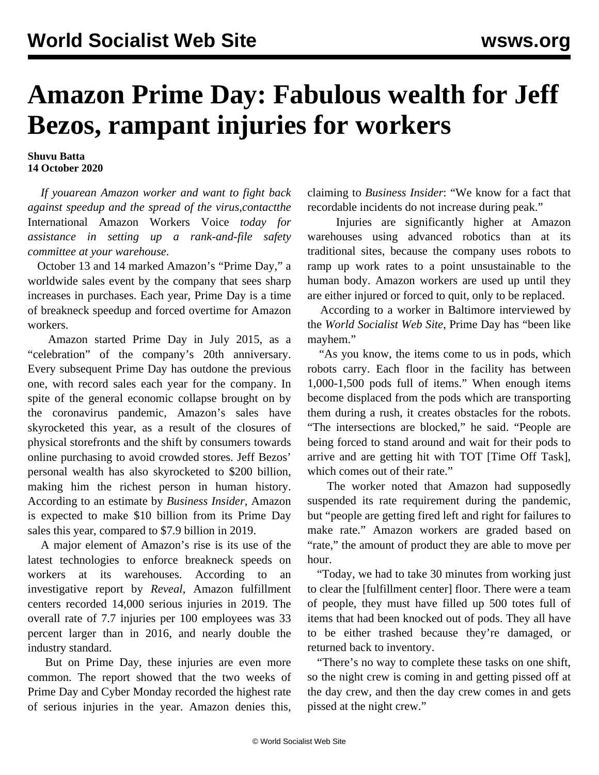## **Amazon Prime Day: Fabulous wealth for Jeff Bezos, rampant injuries for workers**

**Shuvu Batta 14 October 2020**

 *If youarean Amazon worker and want to fight back against speedup and the spread of the virus,[contactt](https://tools.wsws.org/wsws/forms/amazon-newsletter.html)he* International Amazon Workers Voice *today for assistance in setting up a rank-and-file safety committee at your warehouse*.

 October 13 and 14 marked Amazon's "Prime Day," a worldwide sales event by the company that sees sharp increases in purchases. Each year, Prime Day is a time of breakneck speedup and forced overtime for Amazon workers.

 Amazon started Prime Day in July 2015, as a "celebration" of the company's 20th anniversary. Every subsequent Prime Day has outdone the previous one, with record sales each year for the company. In spite of the general economic collapse brought on by the coronavirus pandemic, Amazon's sales have skyrocketed this year, as a result of the closures of physical storefronts and the shift by consumers towards online purchasing to avoid crowded stores. Jeff Bezos' personal wealth has also [skyrocketed to \\$200 billion,](/en/articles/2020/09/09/amaz-s09.html) making him the richest person in human history. According to an estimate by *Business Insider*, Amazon is expected to make \$10 billion from its Prime Day sales this year, compared to \$7.9 billion in 2019.

 A major element of Amazon's rise is its use of the latest technologies to enforce breakneck speeds on workers at its warehouses. According to an investigative report by *Reveal*, Amazon fulfillment centers recorded 14,000 serious injuries in 2019. The overall rate of 7.7 injuries per 100 employees was 33 percent larger than in 2016, and nearly double the industry standard.

 But on Prime Day, these injuries are even more common. The report showed that the two weeks of Prime Day and Cyber Monday recorded the highest rate of serious injuries in the year. Amazon denies this,

claiming to *Business Insider*: "We know for a fact that recordable incidents do not increase during peak."

 Injuries are significantly higher at Amazon warehouses using advanced robotics than at its traditional sites, because the company uses robots to ramp up work rates to a point unsustainable to the human body. Amazon workers are used up until they are either injured or forced to quit, only to be replaced.

 According to a worker in Baltimore interviewed by the *World Socialist Web Site*, Prime Day has "been like mayhem."

 "As you know, the items come to us in pods, which robots carry. Each floor in the facility has between 1,000-1,500 pods full of items." When enough items become displaced from the pods which are transporting them during a rush, it creates obstacles for the robots. "The intersections are blocked," he said. "People are being forced to stand around and wait for their pods to arrive and are getting hit with TOT [Time Off Task], which comes out of their rate."

 The worker noted that Amazon had supposedly suspended its rate requirement during the pandemic, but "people are getting fired left and right for failures to make rate." Amazon workers are graded based on "rate," the amount of product they are able to move per hour.

 "Today, we had to take 30 minutes from working just to clear the [fulfillment center] floor. There were a team of people, they must have filled up 500 totes full of items that had been knocked out of pods. They all have to be either trashed because they're damaged, or returned back to inventory.

 "There's no way to complete these tasks on one shift, so the night crew is coming in and getting pissed off at the day crew, and then the day crew comes in and gets pissed at the night crew."